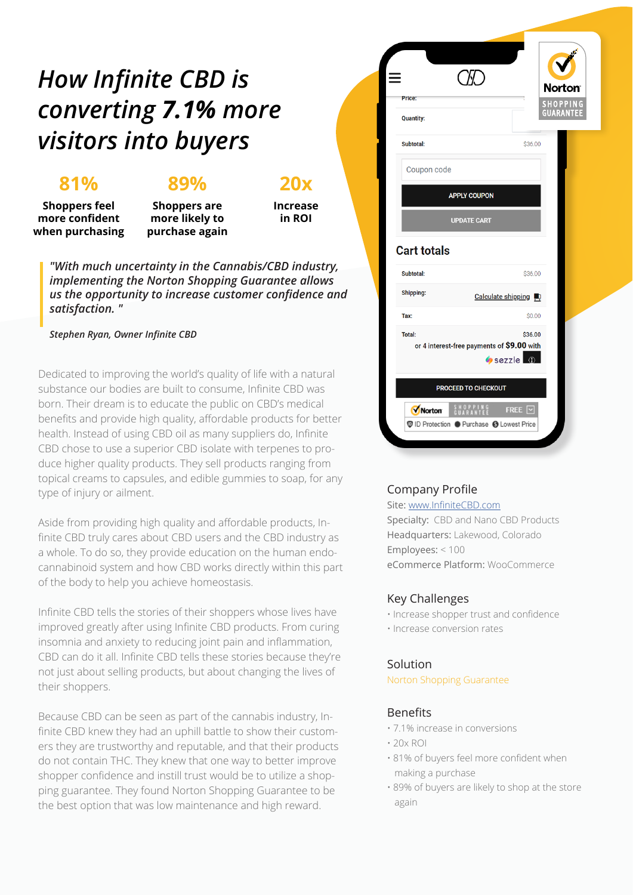## *How Infinite CBD is converting 7.1% more visitors into buyers*

## **81%**

## **89%**

**20x**

**Shoppers feel more confident when purchasing**

**Shoppers are more likely to purchase again**

**Increase in ROI**

*"With much uncertainty in the Cannabis/CBD industry, implementing the Norton Shopping Guarantee allows us the opportunity to increase customer confidence and satisfaction. "*

#### *Stephen Ryan, Owner Infinite CBD*

Dedicated to improving the world's quality of life with a natural substance our bodies are built to consume, Infinite CBD was born. Their dream is to educate the public on CBD's medical benefits and provide high quality, affordable products for better health. Instead of using CBD oil as many suppliers do, Infinite CBD chose to use a superior CBD isolate with terpenes to produce higher quality products. They sell products ranging from topical creams to capsules, and edible gummies to soap, for any type of injury or ailment.

Aside from providing high quality and affordable products, Infinite CBD truly cares about CBD users and the CBD industry as a whole. To do so, they provide education on the human endocannabinoid system and how CBD works directly within this part of the body to help you achieve homeostasis.

Infinite CBD tells the stories of their shoppers whose lives have improved greatly after using Infinite CBD products. From curing insomnia and anxiety to reducing joint pain and inflammation, CBD can do it all. Infinite CBD tells these stories because they're not just about selling products, but about changing the lives of their shoppers.

Because CBD can be seen as part of the cannabis industry, Infinite CBD knew they had an uphill battle to show their customers they are trustworthy and reputable, and that their products do not contain THC. They knew that one way to better improve shopper confidence and instill trust would be to utilize a shopping guarantee. They found Norton Shopping Guarantee to be the best option that was low maintenance and high reward.



#### Company Profile

Site: [www.InfiniteCBD.com](https://infinitecbd.com/)

Specialty: CBD and Nano CBD Products Headquarters: Lakewood, Colorado Employees: < 100 eCommerce Platform: WooCommerce

#### Key Challenges

- Increase shopper trust and confidence
- Increase conversion rates

#### Solution

Norton Shopping Guarantee

#### Benefits

- 7.1% increase in conversions
- $\cdot$  20 $\times$  ROI
- 81% of buyers feel more confident when making a purchase
- 89% of buyers are likely to shop at the store again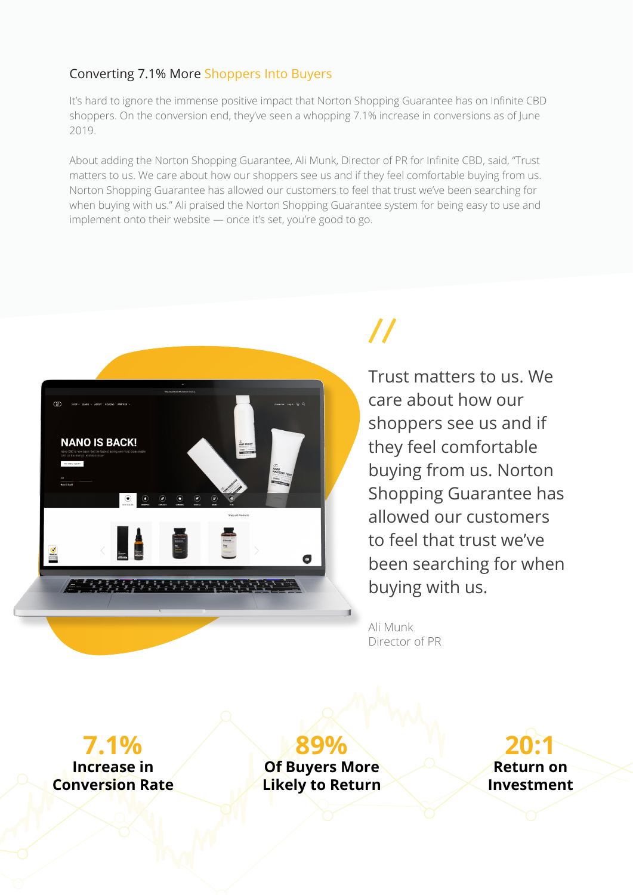### Converting 7.1% More Shoppers Into Buyers

It's hard to ignore the immense positive impact that Norton Shopping Guarantee has on Infinite CBD shoppers. On the conversion end, they've seen a whopping 7.1% increase in conversions as of June 2019.

About adding the Norton Shopping Guarantee, Ali Munk, Director of PR for Infinite CBD, said, "Trust matters to us. We care about how our shoppers see us and if they feel comfortable buying from us. Norton Shopping Guarantee has allowed our customers to feel that trust we've been searching for when buying with us." Ali praised the Norton Shopping Guarantee system for being easy to use and implement onto their website — once it's set, you're good to go.



# $\prime\prime$

Trust matters to us. We care about how our shoppers see us and if they feel comfortable buying from us. Norton Shopping Guarantee has allowed our customers to feel that trust we've been searching for when buying with us.

Ali Munk Director of PR

**7.1%**

**Increase in Conversion Rate**

**89% Of Buyers More Likely to Return**

**20:1 Return on Investment**